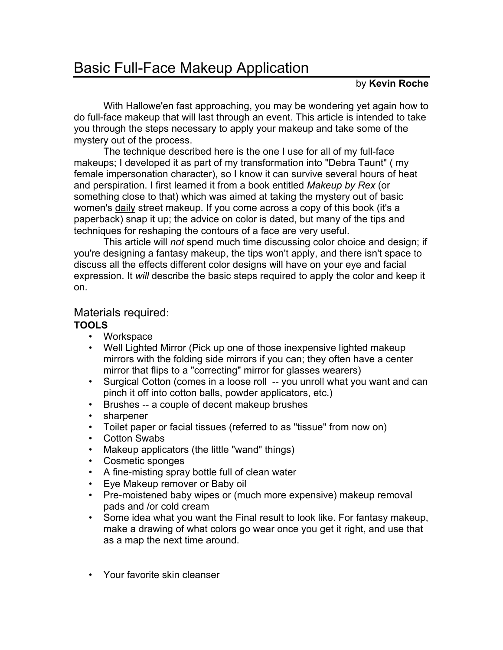## Basic Full-Face Makeup Application

## by **Kevin Roche**

With Hallowe'en fast approaching, you may be wondering yet again how to do full-face makeup that will last through an event. This article is intended to take you through the steps necessary to apply your makeup and take some of the mystery out of the process.

The technique described here is the one I use for all of my full-face makeups; I developed it as part of my transformation into "Debra Taunt" ( my female impersonation character), so I know it can survive several hours of heat and perspiration. I first learned it from a book entitled *Makeup by Rex* (or something close to that) which was aimed at taking the mystery out of basic women's daily street makeup. If you come across a copy of this book (it's a paperback) snap it up; the advice on color is dated, but many of the tips and techniques for reshaping the contours of a face are very useful.

This article will *not* spend much time discussing color choice and design; if you're designing a fantasy makeup, the tips won't apply, and there isn't space to discuss all the effects different color designs will have on your eye and facial expression. It *will* describe the basic steps required to apply the color and keep it on.

## Materials required:

## **TOOLS**

- Workspace
- Well Lighted Mirror (Pick up one of those inexpensive lighted makeup mirrors with the folding side mirrors if you can; they often have a center mirror that flips to a "correcting" mirror for glasses wearers)
- Surgical Cotton (comes in a loose roll -- you unroll what you want and can pinch it off into cotton balls, powder applicators, etc.)
- Brushes -- a couple of decent makeup brushes
- sharpener
- Toilet paper or facial tissues (referred to as "tissue" from now on)
- Cotton Swabs
- Makeup applicators (the little "wand" things)
- Cosmetic sponges
- A fine-misting spray bottle full of clean water
- Eye Makeup remover or Baby oil
- Pre-moistened baby wipes or (much more expensive) makeup removal pads and /or cold cream
- Some idea what you want the Final result to look like. For fantasy makeup, make a drawing of what colors go wear once you get it right, and use that as a map the next time around.
- Your favorite skin cleanser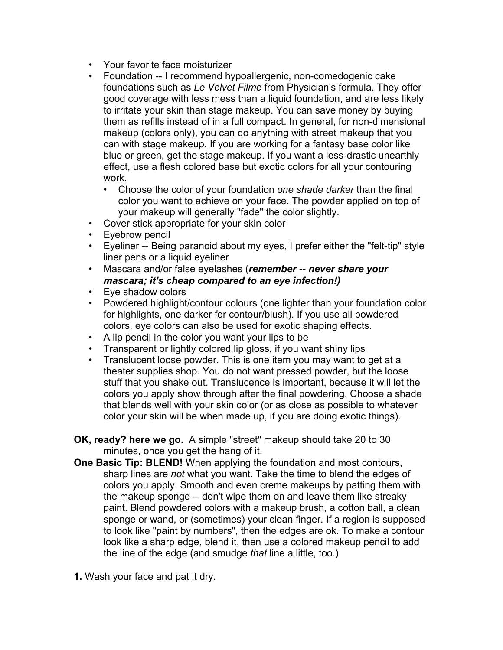- Your favorite face moisturizer
- Foundation -- I recommend hypoallergenic, non-comedogenic cake foundations such as *Le Velvet Filme* from Physician's formula. They offer good coverage with less mess than a liquid foundation, and are less likely to irritate your skin than stage makeup. You can save money by buying them as refills instead of in a full compact. In general, for non-dimensional makeup (colors only), you can do anything with street makeup that you can with stage makeup. If you are working for a fantasy base color like blue or green, get the stage makeup. If you want a less-drastic unearthly effect, use a flesh colored base but exotic colors for all your contouring work.
	- Choose the color of your foundation *one shade darker* than the final color you want to achieve on your face. The powder applied on top of your makeup will generally "fade" the color slightly.
- Cover stick appropriate for your skin color
- Eyebrow pencil
- Eyeliner -- Being paranoid about my eyes, I prefer either the "felt-tip" style liner pens or a liquid eyeliner
- Mascara and/or false eyelashes (*remember -- never share your mascara; it's cheap compared to an eye infection!)*
- Eye shadow colors
- Powdered highlight/contour colours (one lighter than your foundation color for highlights, one darker for contour/blush). If you use all powdered colors, eye colors can also be used for exotic shaping effects.
- A lip pencil in the color you want your lips to be
- Transparent or lightly colored lip gloss, if you want shiny lips
- Translucent loose powder. This is one item you may want to get at a theater supplies shop. You do not want pressed powder, but the loose stuff that you shake out. Translucence is important, because it will let the colors you apply show through after the final powdering. Choose a shade that blends well with your skin color (or as close as possible to whatever color your skin will be when made up, if you are doing exotic things).
- **OK, ready? here we go.** A simple "street" makeup should take 20 to 30 minutes, once you get the hang of it.
- **One Basic Tip: BLEND!** When applying the foundation and most contours, sharp lines are *not* what you want. Take the time to blend the edges of colors you apply. Smooth and even creme makeups by patting them with the makeup sponge -- don't wipe them on and leave them like streaky paint. Blend powdered colors with a makeup brush, a cotton ball, a clean sponge or wand, or (sometimes) your clean finger. If a region is supposed to look like "paint by numbers", then the edges are ok. To make a contour look like a sharp edge, blend it, then use a colored makeup pencil to add the line of the edge (and smudge *that* line a little, too.)
- **1.** Wash your face and pat it dry.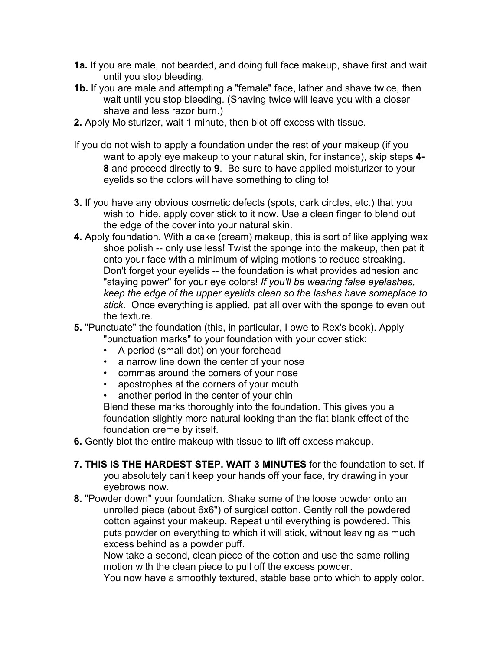- **1a.** If you are male, not bearded, and doing full face makeup, shave first and wait until you stop bleeding.
- **1b.** If you are male and attempting a "female" face, lather and shave twice, then wait until you stop bleeding. (Shaving twice will leave you with a closer shave and less razor burn.)
- **2.** Apply Moisturizer, wait 1 minute, then blot off excess with tissue.
- If you do not wish to apply a foundation under the rest of your makeup (if you want to apply eye makeup to your natural skin, for instance), skip steps **4- 8** and proceed directly to **9**. Be sure to have applied moisturizer to your eyelids so the colors will have something to cling to!
- **3.** If you have any obvious cosmetic defects (spots, dark circles, etc.) that you wish to hide, apply cover stick to it now. Use a clean finger to blend out the edge of the cover into your natural skin.
- **4.** Apply foundation. With a cake (cream) makeup, this is sort of like applying wax shoe polish -- only use less! Twist the sponge into the makeup, then pat it onto your face with a minimum of wiping motions to reduce streaking. Don't forget your eyelids -- the foundation is what provides adhesion and "staying power" for your eye colors! *If you'll be wearing false eyelashes, keep the edge of the upper eyelids clean so the lashes have someplace to stick.* Once everything is applied, pat all over with the sponge to even out the texture.
- **5.** "Punctuate" the foundation (this, in particular, I owe to Rex's book). Apply "punctuation marks" to your foundation with your cover stick:
	- A period (small dot) on your forehead
	- a narrow line down the center of your nose
	- commas around the corners of your nose
	- apostrophes at the corners of your mouth
	- another period in the center of your chin

Blend these marks thoroughly into the foundation. This gives you a foundation slightly more natural looking than the flat blank effect of the foundation creme by itself.

- **6.** Gently blot the entire makeup with tissue to lift off excess makeup.
- **7. THIS IS THE HARDEST STEP. WAIT 3 MINUTES** for the foundation to set. If you absolutely can't keep your hands off your face, try drawing in your eyebrows now.
- **8.** "Powder down" your foundation. Shake some of the loose powder onto an unrolled piece (about 6x6") of surgical cotton. Gently roll the powdered cotton against your makeup. Repeat until everything is powdered. This puts powder on everything to which it will stick, without leaving as much excess behind as a powder puff.

Now take a second, clean piece of the cotton and use the same rolling motion with the clean piece to pull off the excess powder.

You now have a smoothly textured, stable base onto which to apply color.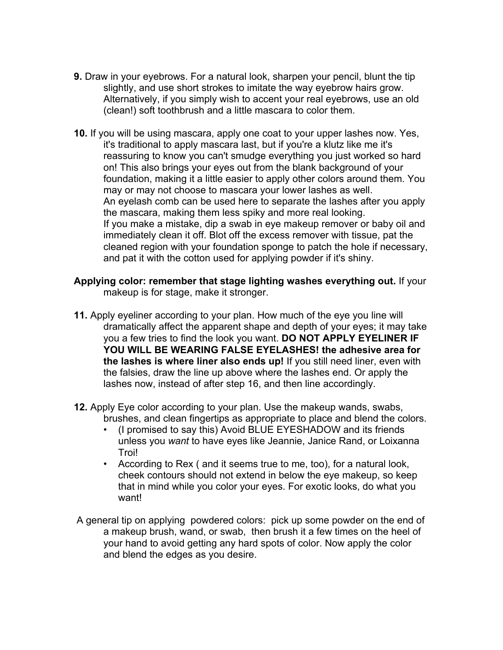- **9.** Draw in your eyebrows. For a natural look, sharpen your pencil, blunt the tip slightly, and use short strokes to imitate the way eyebrow hairs grow. Alternatively, if you simply wish to accent your real eyebrows, use an old (clean!) soft toothbrush and a little mascara to color them.
- **10.** If you will be using mascara, apply one coat to your upper lashes now. Yes, it's traditional to apply mascara last, but if you're a klutz like me it's reassuring to know you can't smudge everything you just worked so hard on! This also brings your eyes out from the blank background of your foundation, making it a little easier to apply other colors around them. You may or may not choose to mascara your lower lashes as well. An eyelash comb can be used here to separate the lashes after you apply the mascara, making them less spiky and more real looking. If you make a mistake, dip a swab in eye makeup remover or baby oil and immediately clean it off. Blot off the excess remover with tissue, pat the cleaned region with your foundation sponge to patch the hole if necessary, and pat it with the cotton used for applying powder if it's shiny.
- **Applying color: remember that stage lighting washes everything out.** If your makeup is for stage, make it stronger.
- **11.** Apply eyeliner according to your plan. How much of the eye you line will dramatically affect the apparent shape and depth of your eyes; it may take you a few tries to find the look you want. **DO NOT APPLY EYELINER IF YOU WILL BE WEARING FALSE EYELASHES! the adhesive area for the lashes is where liner also ends up!** If you still need liner, even with the falsies, draw the line up above where the lashes end. Or apply the lashes now, instead of after step 16, and then line accordingly.
- **12.** Apply Eye color according to your plan. Use the makeup wands, swabs, brushes, and clean fingertips as appropriate to place and blend the colors.
	- (I promised to say this) Avoid BLUE EYESHADOW and its friends unless you *want* to have eyes like Jeannie, Janice Rand, or Loixanna Troi!
	- According to Rex ( and it seems true to me, too), for a natural look, cheek contours should not extend in below the eye makeup, so keep that in mind while you color your eyes. For exotic looks, do what you want!
- A general tip on applying powdered colors: pick up some powder on the end of a makeup brush, wand, or swab, then brush it a few times on the heel of your hand to avoid getting any hard spots of color. Now apply the color and blend the edges as you desire.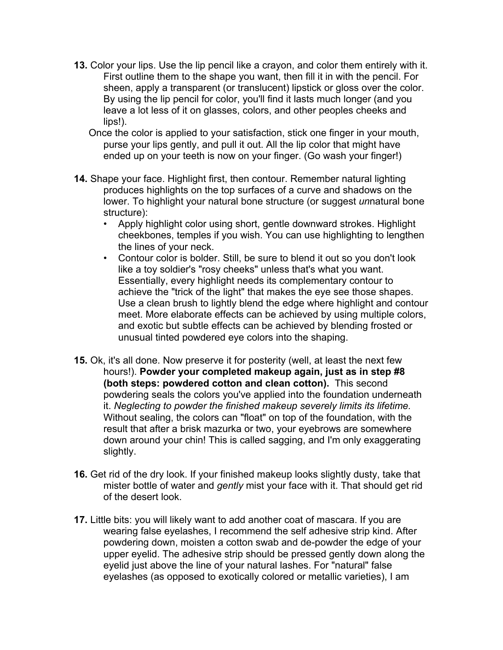- **13.** Color your lips. Use the lip pencil like a crayon, and color them entirely with it. First outline them to the shape you want, then fill it in with the pencil. For sheen, apply a transparent (or translucent) lipstick or gloss over the color. By using the lip pencil for color, you'll find it lasts much longer (and you leave a lot less of it on glasses, colors, and other peoples cheeks and lips!).
	- Once the color is applied to your satisfaction, stick one finger in your mouth, purse your lips gently, and pull it out. All the lip color that might have ended up on your teeth is now on your finger. (Go wash your finger!)
- **14.** Shape your face. Highlight first, then contour. Remember natural lighting produces highlights on the top surfaces of a curve and shadows on the lower. To highlight your natural bone structure (or suggest *un*natural bone structure):
	- Apply highlight color using short, gentle downward strokes. Highlight cheekbones, temples if you wish. You can use highlighting to lengthen the lines of your neck.
	- Contour color is bolder. Still, be sure to blend it out so you don't look like a toy soldier's "rosy cheeks" unless that's what you want. Essentially, every highlight needs its complementary contour to achieve the "trick of the light" that makes the eye see those shapes. Use a clean brush to lightly blend the edge where highlight and contour meet. More elaborate effects can be achieved by using multiple colors, and exotic but subtle effects can be achieved by blending frosted or unusual tinted powdered eye colors into the shaping.
- **15.** Ok, it's all done. Now preserve it for posterity (well, at least the next few hours!). **Powder your completed makeup again, just as in step #8 (both steps: powdered cotton and clean cotton).** This second powdering seals the colors you've applied into the foundation underneath it. *Neglecting to powder the finished makeup severely limits its lifetime.* Without sealing, the colors can "float" on top of the foundation, with the result that after a brisk mazurka or two, your eyebrows are somewhere down around your chin! This is called sagging, and I'm only exaggerating slightly.
- **16.** Get rid of the dry look. If your finished makeup looks slightly dusty, take that mister bottle of water and *gently* mist your face with it. That should get rid of the desert look.
- **17.** Little bits: you will likely want to add another coat of mascara. If you are wearing false eyelashes, I recommend the self adhesive strip kind. After powdering down, moisten a cotton swab and de-powder the edge of your upper eyelid. The adhesive strip should be pressed gently down along the eyelid just above the line of your natural lashes. For "natural" false eyelashes (as opposed to exotically colored or metallic varieties), I am